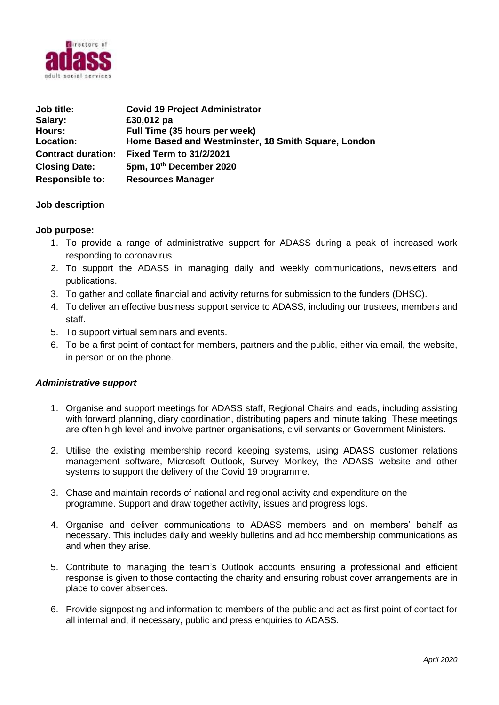

| Job title:                | <b>Covid 19 Project Administrator</b>               |
|---------------------------|-----------------------------------------------------|
| Salary:                   | £30,012 pa                                          |
| Hours:                    | Full Time (35 hours per week)                       |
| <b>Location:</b>          | Home Based and Westminster, 18 Smith Square, London |
| <b>Contract duration:</b> | <b>Fixed Term to 31/2/2021</b>                      |
| <b>Closing Date:</b>      | 5pm, 10th December 2020                             |
| <b>Responsible to:</b>    | <b>Resources Manager</b>                            |

## **Job description**

#### **Job purpose:**

- 1. To provide a range of administrative support for ADASS during a peak of increased work responding to coronavirus
- 2. To support the ADASS in managing daily and weekly communications, newsletters and publications.
- 3. To gather and collate financial and activity returns for submission to the funders (DHSC).
- 4. To deliver an effective business support service to ADASS, including our trustees, members and staff.
- 5. To support virtual seminars and events.
- 6. To be a first point of contact for members, partners and the public, either via email, the website, in person or on the phone.

#### *Administrative support*

- 1. Organise and support meetings for ADASS staff, Regional Chairs and leads, including assisting with forward planning, diary coordination, distributing papers and minute taking. These meetings are often high level and involve partner organisations, civil servants or Government Ministers.
- 2. Utilise the existing membership record keeping systems, using ADASS customer relations management software, Microsoft Outlook, Survey Monkey, the ADASS website and other systems to support the delivery of the Covid 19 programme.
- 3. Chase and maintain records of national and regional activity and expenditure on the programme. Support and draw together activity, issues and progress logs.
- 4. Organise and deliver communications to ADASS members and on members' behalf as necessary. This includes daily and weekly bulletins and ad hoc membership communications as and when they arise.
- 5. Contribute to managing the team's Outlook accounts ensuring a professional and efficient response is given to those contacting the charity and ensuring robust cover arrangements are in place to cover absences.
- 6. Provide signposting and information to members of the public and act as first point of contact for all internal and, if necessary, public and press enquiries to ADASS.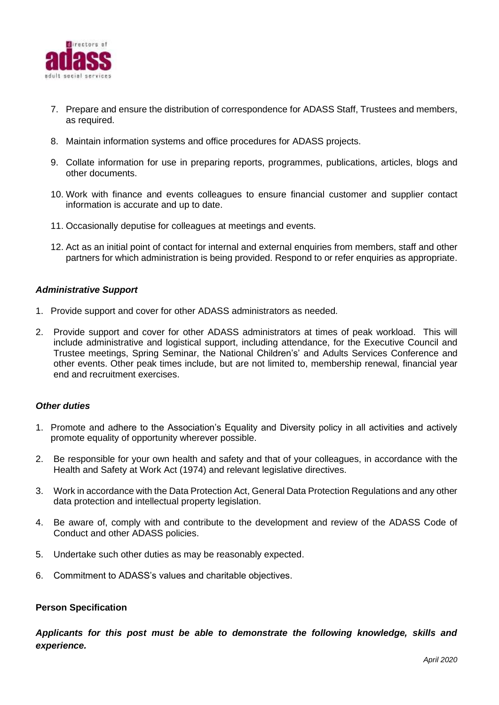

- 7. Prepare and ensure the distribution of correspondence for ADASS Staff, Trustees and members, as required.
- 8. Maintain information systems and office procedures for ADASS projects.
- 9. Collate information for use in preparing reports, programmes, publications, articles, blogs and other documents.
- 10. Work with finance and events colleagues to ensure financial customer and supplier contact information is accurate and up to date.
- 11. Occasionally deputise for colleagues at meetings and events.
- 12. Act as an initial point of contact for internal and external enquiries from members, staff and other partners for which administration is being provided. Respond to or refer enquiries as appropriate.

#### *Administrative Support*

- 1. Provide support and cover for other ADASS administrators as needed.
- 2. Provide support and cover for other ADASS administrators at times of peak workload. This will include administrative and logistical support, including attendance, for the Executive Council and Trustee meetings, Spring Seminar, the National Children's' and Adults Services Conference and other events. Other peak times include, but are not limited to, membership renewal, financial year end and recruitment exercises.

#### *Other duties*

- 1. Promote and adhere to the Association's Equality and Diversity policy in all activities and actively promote equality of opportunity wherever possible.
- 2. Be responsible for your own health and safety and that of your colleagues, in accordance with the Health and Safety at Work Act (1974) and relevant legislative directives.
- 3. Work in accordance with the Data Protection Act, General Data Protection Regulations and any other data protection and intellectual property legislation.
- 4. Be aware of, comply with and contribute to the development and review of the ADASS Code of Conduct and other ADASS policies.
- 5. Undertake such other duties as may be reasonably expected.
- 6. Commitment to ADASS's values and charitable objectives.

#### **Person Specification**

*Applicants for this post must be able to demonstrate the following knowledge, skills and experience.*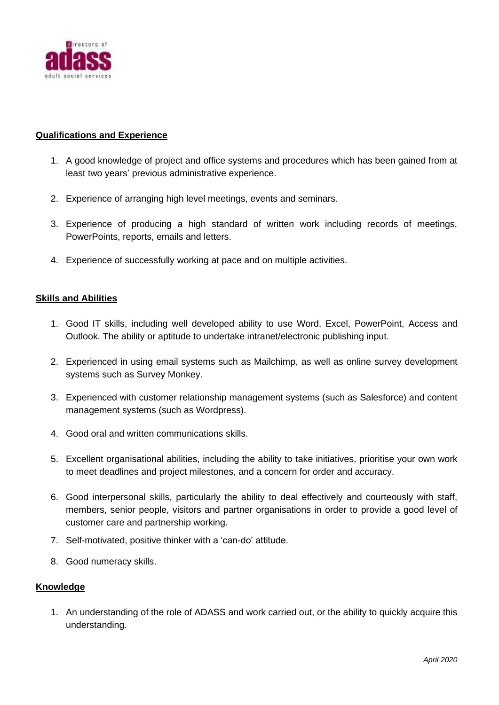

## **Qualifications and Experience**

- 1. A good knowledge of project and office systems and procedures which has been gained from at least two years' previous administrative experience.
- 2. Experience of arranging high level meetings, events and seminars.
- 3. Experience of producing a high standard of written work including records of meetings, PowerPoints, reports, emails and letters.
- 4. Experience of successfully working at pace and on multiple activities.

# **Skills and Abilities**

- 1. Good IT skills, including well developed ability to use Word, Excel, PowerPoint, Access and Outlook. The ability or aptitude to undertake intranet/electronic publishing input.
- 2. Experienced in using email systems such as Mailchimp, as well as online survey development systems such as Survey Monkey.
- 3. Experienced with customer relationship management systems (such as Salesforce) and content management systems (such as Wordpress).
- 4. Good oral and written communications skills.
- 5. Excellent organisational abilities, including the ability to take initiatives, prioritise your own work to meet deadlines and project milestones, and a concern for order and accuracy.
- 6. Good interpersonal skills, particularly the ability to deal effectively and courteously with staff, members, senior people, visitors and partner organisations in order to provide a good level of customer care and partnership working.
- 7. Self-motivated, positive thinker with a 'can-do' attitude.
- 8. Good numeracy skills.

## **Knowledge**

1. An understanding of the role of ADASS and work carried out, or the ability to quickly acquire this understanding.